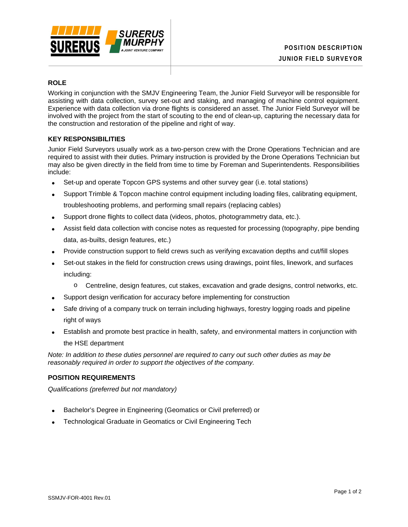

# **ROLE**

Working in conjunction with the SMJV Engineering Team, the Junior Field Surveyor will be responsible for assisting with data collection, survey set-out and staking, and managing of machine control equipment. Experience with data collection via drone flights is considered an asset. The Junior Field Surveyor will be involved with the project from the start of scouting to the end of clean-up, capturing the necessary data for the construction and restoration of the pipeline and right of way.

# **KEY RESPONSIBILITIES**

Junior Field Surveyors usually work as a two-person crew with the Drone Operations Technician and are required to assist with their duties. Primary instruction is provided by the Drone Operations Technician but may also be given directly in the field from time to time by Foreman and Superintendents. Responsibilities include:

- Set-up and operate Topcon GPS systems and other survey gear (i.e. total stations)
- Support Trimble & Topcon machine control equipment including loading files, calibrating equipment, troubleshooting problems, and performing small repairs (replacing cables)
- Support drone flights to collect data (videos, photos, photogrammetry data, etc.).
- Assist field data collection with concise notes as requested for processing (topography, pipe bending data, as-builts, design features, etc.)
- Provide construction support to field crews such as verifying excavation depths and cut/fill slopes
- Set-out stakes in the field for construction crews using drawings, point files, linework, and surfaces including:
	- o Centreline, design features, cut stakes, excavation and grade designs, control networks, etc.
- Support design verification for accuracy before implementing for construction
- Safe driving of a company truck on terrain including highways, forestry logging roads and pipeline right of ways
- Establish and promote best practice in health, safety, and environmental matters in conjunction with the HSE department

*Note: In addition to these duties personnel are required to carry out such other duties as may be reasonably required in order to support the objectives of the company.*

#### **POSITION REQUIREMENTS**

*Qualifications (preferred but not mandatory)*

- Bachelor's Degree in Engineering (Geomatics or Civil preferred) or
- Technological Graduate in Geomatics or Civil Engineering Tech